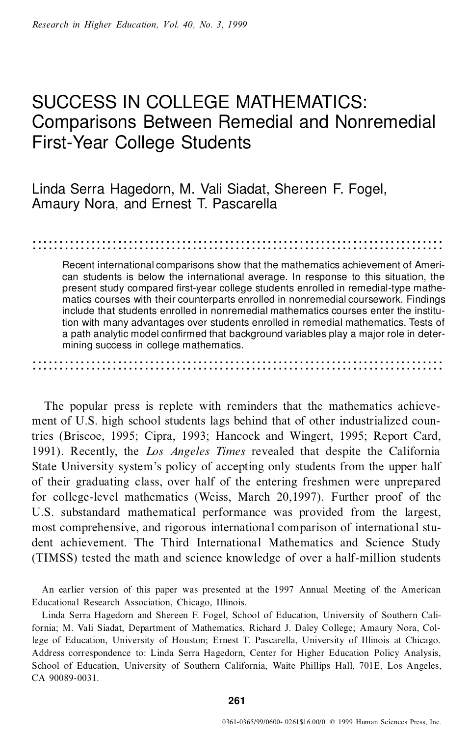# SUCCESS IN COLLEGE MATHEMATICS: Comparisons Between Remedial and Nonremedial First-Year College Students

Linda Serra Hagedorn, M. Vali Siadat, Shereen F. Fogel, Amaury Nora, and Ernest T. Pascarella

: : : : : : : : : : : : : : : : : : : : : : : : : : : : : : : : : : : : : : : : : : : : : : : : : : : : : : : : : : : : : : : : : : : : : : : : : : : : :

Recent international comparisons show that the mathematics achievement of Ameri can students is below the international average. In response to this situation, the present study compared first-year college students enrolled in remedial-type mathematics courses with their counterparts enrolled in nonremedial coursework. Findings include that students enrolled in nonremedial mathematics courses enter the institution with many advantages over students enrolled in remedial mathematics. Tests of a path analytic model confirmed that background variables play a major role in determining success in college mathematics.

The popular press is replete with reminders that the mathematics achieve ment of U.S. high school students lags behind that of other industrialized countries (Briscoe, 1995; Cipra, 1993; Hancock and Wingert, 1995; Report Card, 1991). Recently, the *Los Angeles Times* revealed that despite the California State University system's policy of accepting only students from the upper half of their graduating class, over half of the entering freshmen were unprepared for college-level mathematics (Weiss, March 20,1997). Further proof of the U.S. substandard mathematical performance was provided from the largest, most comprehensive, and rigorous international comparison of international student achievement. The Third International Mathematics and Science Study (TIMSS) tested the math and science knowledge of over a half-million students

: : : : : : : : : : : : : : : : : : : : : : : : : : : : : : : : : : : : : : : : : : : : : : : : : : : : : : : : : : : : : : : : : : : : : : : : : : : : :

An earlier version of this paper was presented at the 1997 Annual Meeting of the American Educational Research Association, Chicago, Illinois.

Linda Serra Hagedorn and Shereen F. Fogel, School of Education, University of Southern California; M. Vali Siadat, Department of Mathematics, Richard J. Daley College; Amaury Nora, College of Education, University of Houston; Ernest T. Pascarella, University of Illinois at Chicago. Address correspondence to: Linda Serra Hagedorn, Center for Higher Education Policy Analysis, School of Education, University of Southern California, Waite Phillips Hall, 701E, Los Angeles, CA 90089-0031.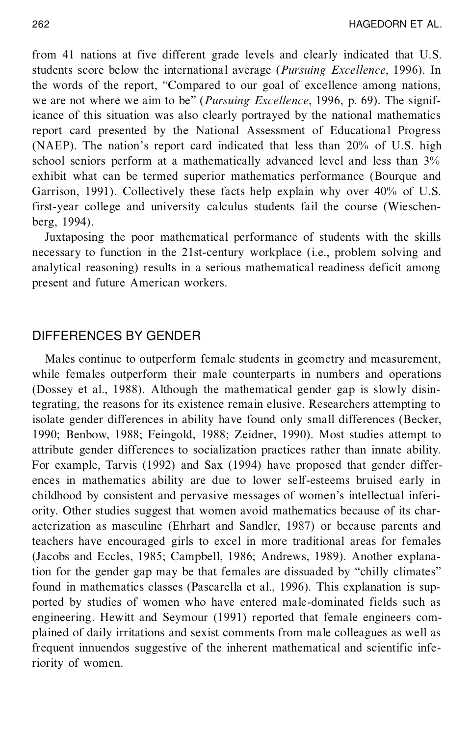from 41 nations at five different grade levels and clearly indicated that U.S. students score below the international average (*Pursuing Excellence*, 1996). In the words of the report, "Compared to our goal of excellence among nations, we are not where we aim to be" (*Pursuing Excellence*, 1996, p. 69). The significance of this situation was also clearly portrayed by the national mathematics report card presented by the National Assessment of Educational Progress (NAEP). The nation's report card indicated that less than 20% of U.S. high school seniors perform at a mathematically advanced level and less than 3% exhibit what can be termed superior mathematics performance (Bourque and Garrison, 1991). Collectively these facts help explain why over 40% of U.S. first-year college and university calculus students fail the course (Wieschenberg, 1994).

Juxtaposing the poor mathematical performance of students with the skills necessary to function in the 21st-century workplace (i.e., problem solving and analytical reasoning) results in a serious mathematical readiness deficit among present and future American workers.

## DIFFERENCES BY GENDER

Males continue to outperform female students in geometry and measurement, while females outperform their male counterparts in numbers and operations (Dossey et al., 1988). Although the mathematical gender gap is slowly disintegrating, the reasons for its existence remain elusive. Researchers attempting to isolate gender differences in ability have found only small differences (Becker, 1990; Benbow, 1988; Feingold, 1988; Zeidner, 1990). Most studies attempt to attribute gender differences to socialization practices rather than innate ability. For example, Tarvis (1992) and Sax (1994) have proposed that gender differences in mathematics ability are due to lower self-esteems bruised early in childhood by consistent and pervasive messages of women's intellectual inferiority. Other studies suggest that women avoid mathematics because of its characterization as masculine (Ehrhart and Sandler, 1987) or because parents and teachers have encouraged girls to excel in more traditional areas for females (Jacobs and Eccles, 1985; Campbell, 1986; Andrews, 1989). Another explanation for the gender gap may be that females are dissuaded by "chilly climates" found in mathematics classes (Pascarella et al., 1996). This explanation is supported by studies of women who have entered male-dominated fields such as engineering. Hewitt and Seymour (1991) reported that female engineers complained of daily irritations and sexist comments from male colleagues as well as frequent innuendos suggestive of the inherent mathematical and scientific inferiority of women.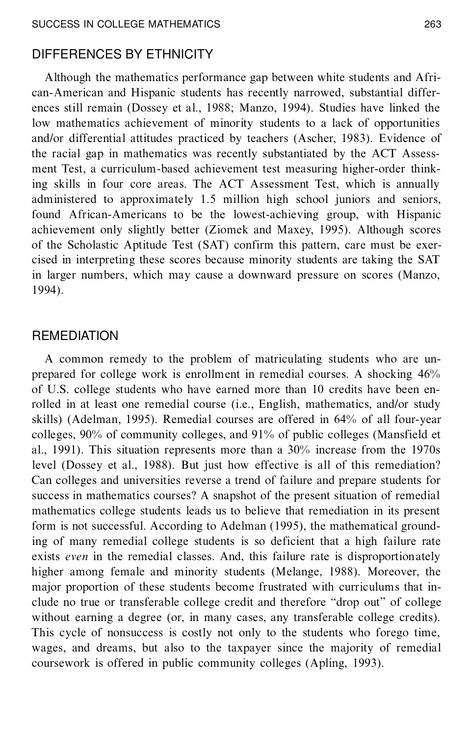## DIFFERENCES BY ETHNICITY

Although the mathematics performance gap between white students and African-American and Hispanic students has recently narrowed, substantial differences still remain (Dossey et al., 1988; Manzo, 1994). Studies have linked the low mathematics achievement of minority students to a lack of opportunities and/or differential attitudes practiced by teachers (Ascher, 1983). Evidence of the racial gap in mathematics was recently substantiated by the ACT Assess ment Test, a curriculum-based achievement test measuring higher-order thinking skills in four core areas. The ACT Assessment Test, which is annually administered to approximately 1.5 million high school juniors and seniors, found African-Americans to be the lowest-achieving group, with Hispanic achievement only slightly better (Ziomek and Maxey, 1995). Although scores of the Scholastic Aptitude Test (SAT) confirm this pattern, care must be exercised in interpreting these scores because minority students are taking the SAT in larger numbers, which may cause a downward pressure on scores (Manzo, 1994).

## **REMEDIATION**

A common remedy to the problem of matriculating students who are unprepared for college work is enrollment in remedial courses. A shocking 46% of U.S. college students who have earned more than 10 credits have been enrolled in at least one remedial course (i.e., English, mathematics, and/or study skills) (Adelman, 1995). Remedial courses are offered in 64% of all four-year colleges, 90% of community colleges, and 91% of public colleges (Mansfield et al., 1991). This situation represents more than a 30% increase from the 1970s level (Dossey et al., 1988). But just how effective is all of this remediation? Can colleges and universities reverse a trend of failure and prepare students for success in mathematics courses? A snapshot of the present situation of remedial mathematics college students leads us to believe that remediation in its present form is not successful. According to Adelman (1995), the mathematical grounding of many remedial college students is so deficient that a high failure rate exists *even* in the remedial classes. And, this failure rate is disproportion ately higher among female and minority students (Melange, 1988). Moreover, the major proportion of these students become frustrated with curriculums that include no true or transferable college credit and therefore "drop out" of college without earning a degree (or, in many cases, any transferable college credits). This cycle of nonsuccess is costly not only to the students who forego time, wages, and dreams, but also to the taxpayer since the majority of remedial coursework is offered in public community colleges (Apling, 1993).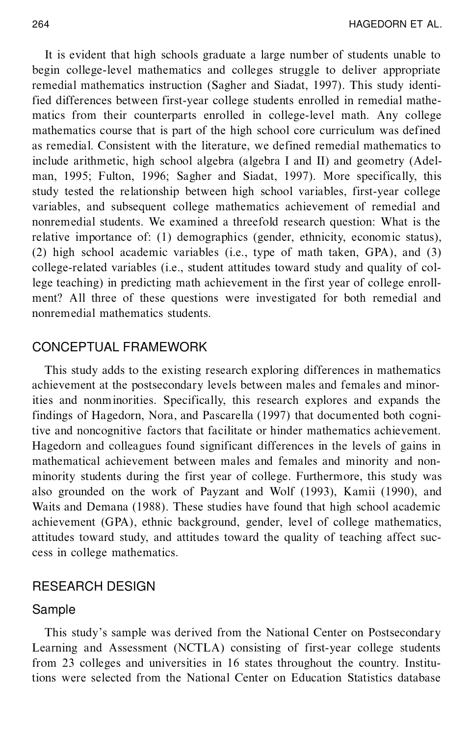It is evident that high schools graduate a large number of students unable to begin college-level mathematics and colleges struggle to deliver appropriate remedial mathematics instruction (Sagher and Siadat, 1997). This study identified differences between first-year college students enrolled in remedial mathe matics from their counterparts enrolled in college-level math. Any college mathematics course that is part of the high school core curriculum was defined as remedial. Consistent with the literature, we defined remedial mathematics to include arithmetic, high school algebra (algebra I and II) and geometry (Adel man, 1995; Fulton, 1996; Sagher and Siadat, 1997). More specifically, this study tested the relationship between high school variables, first-year college variables, and subsequent college mathematics achievement of remedial and nonremedial students. We examined a threefold research question: What is the relative importance of: (1) demographics (gender, ethnicity, economic status), (2) high school academic variables (i.e., type of math taken, GPA), and (3) college-related variables (i.e., student attitudes toward study and quality of college teaching) in predicting math achievement in the first year of college enroll ment? All three of these questions were investigated for both remedial and nonremedial mathematics students.

## CONCEPTUAL FRAMEWORK

This study adds to the existing research exploring differences in mathematics achievement at the postsecondary levels between males and females and minorities and nonminorities. Specifically, this research explores and expands the findings of Hagedorn, Nora, and Pascarella (1997) that documented both cognitive and noncognitive factors that facilitate or hinder mathematics achievement. Hagedorn and colleagues found significant differences in the levels of gains in mathematical achievement between males and females and minority and non minority students during the first year of college. Furthermore, this study was also grounded on the work of Payzant and Wolf (1993), Kamii (1990), and Waits and Demana (1988). These studies have found that high school academic achievement (GPA), ethnic background, gender, level of college mathematics, attitudes toward study, and attitudes toward the quality of teaching affect success in college mathematics.

#### RESEARCH DESIGN

#### Sample

This study's sample was derived from the National Center on Postsecondary Learning and Assessment (NCTLA) consisting of first-year college students from 23 colleges and universities in 16 states throughout the country. Institutions were selected from the National Center on Education Statistics database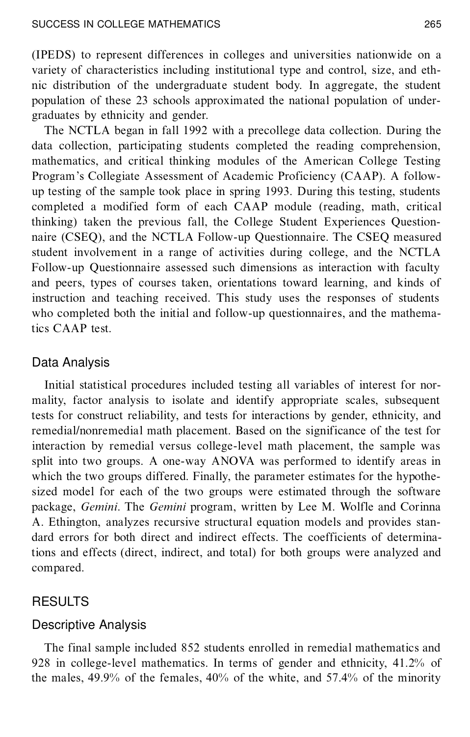(IPEDS) to represent differences in colleges and universities nationwide on a variety of characteristics including institutional type and control, size, and ethnic distribution of the undergraduate student body. In aggregate, the student population of these 23 schools approximated the national population of undergraduates by ethnicity and gender.

The NCTLA began in fall 1992 with a precollege data collection. During the data collection, participating students completed the reading comprehension, mathematics, and critical thinking modules of the American College Testing Program's Collegiate Assessment of Academic Proficiency (CAAP). A followup testing of the sample took place in spring 1993. During this testing, students completed a modified form of each CAAP module (reading, math, critical thinking) taken the previous fall, the College Student Experiences Questionnaire (CSEQ), and the NCTLA Follow-up Questionnaire. The CSEQ measured student involvement in a range of activities during college, and the NCTLA Follow-up Questionnaire assessed such dimensions as interaction with faculty and peers, types of courses taken, orientations toward learning, and kinds of instruction and teaching received. This study uses the responses of students who completed both the initial and follow-up questionnaires, and the mathematics CAAP test.

## Data Analysis

Initial statistical procedures included testing all variables of interest for nor mality, factor analysis to isolate and identify appropriate scales, subsequent tests for construct reliability, and tests for interactions by gender, ethnicity, and remedial/nonremedial math placement. Based on the significance of the test for interaction by remedial versus college-level math placement, the sample was split into two groups. A one-way ANOVA was performed to identify areas in which the two groups differed. Finally, the parameter estimates for the hypothesized model for each of the two groups were estimated through the software package, *Gemini*. The *Gemini* program, written by Lee M. Wolfle and Corinna A. Ethington, analyzes recursive structural equation models and provides standard errors for both direct and indirect effects. The coefficients of determinations and effects (direct, indirect, and total) for both groups were analyzed and compared.

## **RESULTS**

#### Descriptive Analysis

The final sample included 852 students enrolled in remedial mathematics and 928 in college-level mathematics. In terms of gender and ethnicity, 41.2% of the males, 49.9% of the females, 40% of the white, and 57.4% of the minority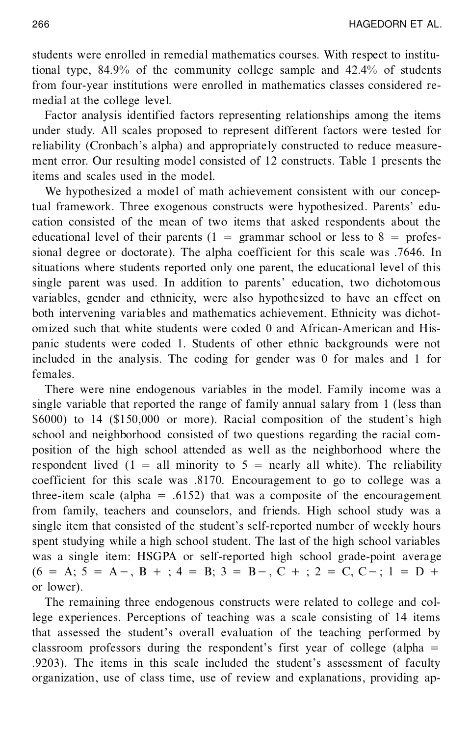students were enrolled in remedial mathematics courses. With respect to institutional type, 84.9% of the community college sample and 42.4% of students from four-year institutions were enrolled in mathematics classes considered re medial at the college level.

Factor analysis identified factors representing relationships among the items under study. All scales proposed to represent different factors were tested for reliability (Cronbach's alpha) and appropriately constructed to reduce measure ment error. Our resulting model consisted of 12 constructs. Table 1 presents the items and scales used in the model.

We hypothesized a model of math achievement consistent with our conceptual framework. Three exogenous constructs were hypothesized. Parents' education consisted of the mean of two items that asked respondents about the educational level of their parents (1 = grammar school or less to 8 = professional degree or doctorate). The alpha coefficient for this scale was .7646. In situations where students reported only one parent, the educational level of this single parent was used. In addition to parents' education, two dichotomous variables, gender and ethnicity, were also hypothesized to have an effect on both intervening variables and mathematics achievement. Ethnicity was dichotomized such that white students were coded 0 and African-American and Hispanic students were coded 1. Students of other ethnic backgrounds were not included in the analysis. The coding for gender was 0 for males and 1 for females.

There were nine endogenous variables in the model. Family income was a single variable that reported the range of family annual salary from 1 (less than \$6000) to 14 (\$150,000 or more). Racial composition of the student's high school and neighborhood consisted of two questions regarding the racial composition of the high school attended as well as the neighborhood where the respondent lived (1 = all minority to  $5$  = nearly all white). The reliability coefficient for this scale was .8170. Encouragement to go to college was a three-item scale (alpha =  $.6152$ ) that was a composite of the encouragement from family, teachers and counselors, and friends. High school study was a single item that consisted of the student's self-reported number of weekly hours spent studying while a high school student. The last of the high school variables was a single item: HSGPA or self-reported high school grade-point average  $(6 = A; 5 = A-, B + ; 4 = B; 3 = B-, C + ; 2 = C, C - ; 1 = D +$ or lower).

The remaining three endogenous constructs were related to college and college experiences. Perceptions of teaching was a scale consisting of 14 items that assessed the student's overall evaluation of the teaching performed by classroom professors during the respondent's first year of college (alpha  $=$ .9203). The items in this scale included the student's assessment of faculty organization, use of class time, use of review and explanations, providing ap-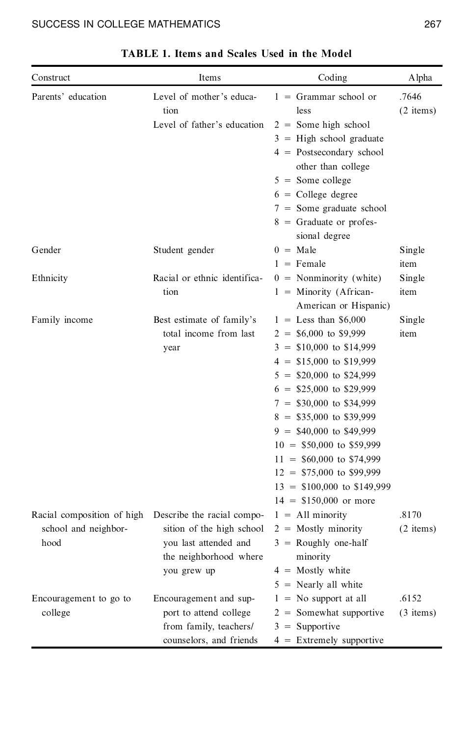| Construct                  | Items                        | Coding                       | A lpha      |
|----------------------------|------------------------------|------------------------------|-------------|
| Parents' education         | Level of mother's educa-     | $1 =$ Grammar school or      | .7646       |
|                            | tion                         | less                         | $(2$ items) |
|                            | Level of father's education  | $2 =$ Some high school       |             |
|                            |                              | $3 =$ High school graduate   |             |
|                            |                              | $4 =$ Postsecondary school   |             |
|                            |                              | other than college           |             |
|                            |                              | $5 =$ Some college           |             |
|                            |                              | $6 =$ College degree         |             |
|                            |                              | $7 =$ Some graduate school   |             |
|                            |                              | $8 =$ Graduate or profes-    |             |
|                            |                              | sional degree                |             |
| Gender                     | Student gender               | $0 = Male$                   | Single      |
|                            |                              | $1 =$ Female                 | item        |
| Ethnicity                  | Racial or ethnic identifica- | $0 =$ Nonminority (white)    | Single      |
|                            | tion                         | 1 = Minority (African-       | item        |
|                            |                              | American or Hispanic)        |             |
| Family income              | Best estimate of family's    | $1 =$ Less than \$6,000      | Single      |
|                            | total income from last       | $2 = $6,000$ to \$9,999      | item        |
|                            | year                         | $3 =$ \$10,000 to \$14,999   |             |
|                            |                              | $4 = $15,000$ to \$19,999    |             |
|                            |                              | $5 =$ \$20,000 to \$24,999   |             |
|                            |                              | $6 = $25,000$ to \$29,999    |             |
|                            |                              | $7 = $30,000$ to \$34,999    |             |
|                            |                              | $8 = $35,000$ to \$39,999    |             |
|                            |                              | $9 = $40,000$ to \$49,999    |             |
|                            |                              | $10 = $50,000$ to \$59,999   |             |
|                            |                              | $11 = $60,000$ to \$74,999   |             |
|                            |                              | $12 = $75,000$ to \$99,999   |             |
|                            |                              | $13 = $100,000$ to \$149,999 |             |
|                            |                              | $14 = $150,000$ or more      |             |
| Racial composition of high | Describe the racial compo-   | $1 = All minority$           | .8170       |
| school and neighbor-       | sition of the high school    | $2 =$ Mostly minority        | $(2$ items) |
| hood                       | you last attended and        | $3 =$ Roughly one-half       |             |
|                            | the neighborhood where       | minority                     |             |
|                            | you grew up                  | $4 =$ Mostly white           |             |
|                            |                              | $5$ = Nearly all white       |             |
| Encouragement to go to     | Encouragement and sup-       | $1 = No support at all$      | .6152       |
| college                    | port to attend college       | $2 =$ Somewhat supportive    | $(3$ items) |
|                            | from family, teachers/       | $3 =$ Supportive             |             |
|                            | counselors, and friends      | $4 =$ Extremely supportive   |             |
|                            |                              |                              |             |

## **TABLE 1. Items and Scales Used in the Model**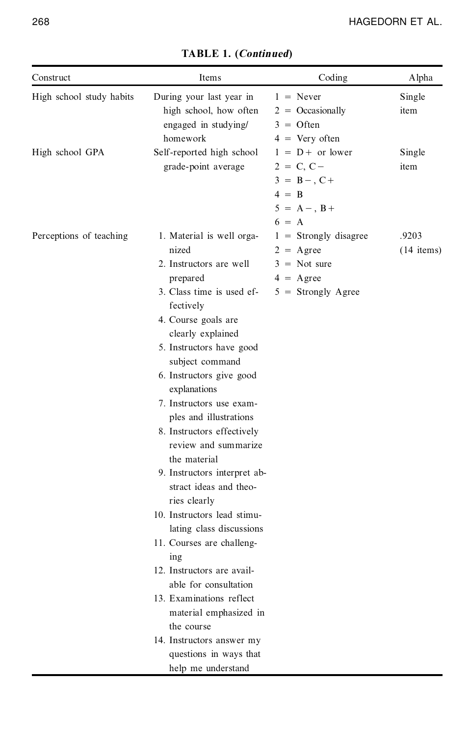| Construct                | Items                                                                                                                                                                                                                                                                                                                                                                                                                                                                                                                                                                                                                                                                                                                                             | Coding                                                                                                        | A lpha                |
|--------------------------|---------------------------------------------------------------------------------------------------------------------------------------------------------------------------------------------------------------------------------------------------------------------------------------------------------------------------------------------------------------------------------------------------------------------------------------------------------------------------------------------------------------------------------------------------------------------------------------------------------------------------------------------------------------------------------------------------------------------------------------------------|---------------------------------------------------------------------------------------------------------------|-----------------------|
| High school study habits | During your last year in<br>high school, how often<br>engaged in studying/<br>homework                                                                                                                                                                                                                                                                                                                                                                                                                                                                                                                                                                                                                                                            | $1 =$ Never<br>$2 = Occasionally$<br>$3 =$ Often<br>$4 = \text{Very often}$                                   | Single<br>item        |
| High school GPA          | Self-reported high school<br>grade-point average                                                                                                                                                                                                                                                                                                                                                                                                                                                                                                                                                                                                                                                                                                  | $1 = D + or lower$<br>$2 = C, C -$<br>$3 = B-, C+$<br>$4 = B$<br>$5 = A - B +$<br>$6 = A$                     | Single<br>item        |
| Perceptions of teaching  | 1. Material is well orga-<br>nized<br>2. Instructors are well<br>prepared<br>3. Class time is used ef-<br>fectively<br>4. Course goals are<br>clearly explained<br>5. Instructors have good<br>subject command<br>6. Instructors give good<br>explanations<br>7. Instructors use exam-<br>ples and illustrations<br>8. Instructors effectively<br>review and summarize<br>the material<br>9. Instructors interpret ab-<br>stract ideas and theo-<br>ries clearly<br>10. Instructors lead stimu-<br>lating class discussions<br>11. Courses are challeng-<br>ing<br>12. Instructors are avail-<br>able for consultation<br>13. Examinations reflect<br>material emphasized in<br>the course<br>14. Instructors answer my<br>questions in ways that | $1 =$ Strongly disagree<br>$2 = \text{Agree}$<br>$3 =$ Not sure<br>$4 = \text{Agree}$<br>$5 =$ Strongly Agree | .9203<br>$(14$ items) |

**TABLE 1. (***Continued***)**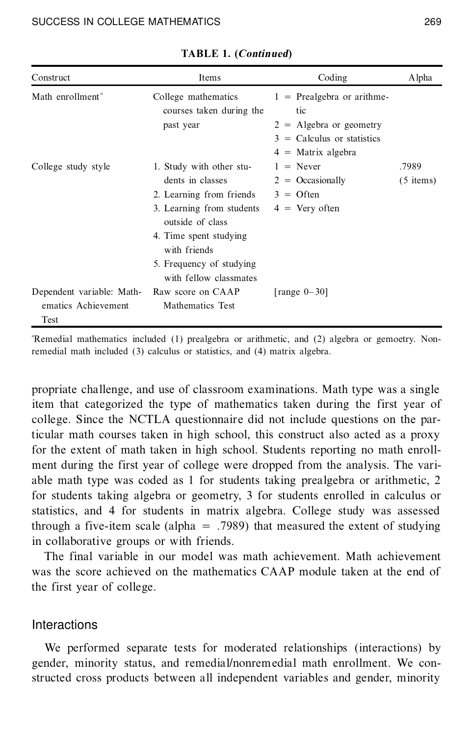| Construct                                                | Items                                                                                                                                                                                                                     | Coding                                                                                                                   | A lpha               |
|----------------------------------------------------------|---------------------------------------------------------------------------------------------------------------------------------------------------------------------------------------------------------------------------|--------------------------------------------------------------------------------------------------------------------------|----------------------|
| Math enrollment <sup>a</sup>                             | College mathematics<br>courses taken during the<br>past year                                                                                                                                                              | $1$ = Prealgebra or arithme-<br>tic<br>$2 =$ Algebra or geometry<br>$3 =$ Calculus or statistics<br>$4 =$ Matrix algebra |                      |
| College study style                                      | 1. Study with other stu-<br>dents in classes<br>2. Learning from friends<br>3. Learning from students<br>outside of class<br>4. Time spent studying<br>with friends<br>5. Frequency of studying<br>with fellow classmates | $1 =$ Never<br>$2 = Occasionally$<br>$3 =$ Often<br>$4 = \text{Very often}$                                              | .7989<br>$(5$ items) |
| Dependent variable: Math-<br>ematics Achievement<br>Test | Raw score on CAAP<br>Mathematics Test                                                                                                                                                                                     | [range $0-30$ ]                                                                                                          |                      |

**TABLE 1. (***Continued***)**

<sup>a</sup>Remedial mathematics included (1) prealgebra or arithmetic, and (2) algebra or gemoetry. Nonremedial math included (3) calculus or statistics, and (4) matrix algebra.

propriate challenge, and use of classroom examinations. Math type was a single item that categorized the type of mathematics taken during the first year of college. Since the NCTLA questionnaire did not include questions on the particular math courses taken in high school, this construct also acted as a proxy for the extent of math taken in high school. Students reporting no math enroll ment during the first year of college were dropped from the analysis. The variable math type was coded as 1 for students taking prealgebra or arithmetic, 2 for students taking algebra or geometry, 3 for students enrolled in calculus or statistics, and 4 for students in matrix algebra. College study was assessed through a five-item scale (alpha = .7989) that measured the extent of studying in collaborative groups or with friends.

The final variable in our model was math achievement. Math achievement was the score achieved on the mathematics CAAP module taken at the end of the first year of college.

#### Interactions

We performed separate tests for moderated relationships (interactions) by gender, minority status, and remedial/nonremedial math enrollment. We constructed cross products between all independent variables and gender, minority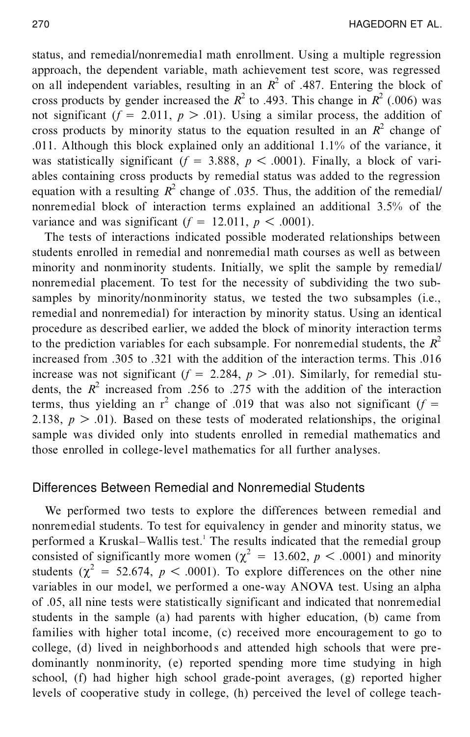status, and remedial/nonremedial math enrollment. Using a multiple regression approach, the dependent variable, math achievement test score, was regressed on all independent variables, resulting in an  $R^2$  of .487. Entering the block of cross products by gender increased the  $R^2$  to .493. This change in  $R^2$  (.006) was not significant ( $f = 2.011$ ,  $p > .01$ ). Using a similar process, the addition of cross products by minority status to the equation resulted in an  $R^2$  change of .011. Although this block explained only an additional 1.1% of the variance, it was statistically significant ( $f = 3.888$ ,  $p < .0001$ ). Finally, a block of variables containing cross products by remedial status was added to the regression equation with a resulting  $R^2$  change of .035. Thus, the addition of the remedial/ nonremedial block of interaction terms explained an additional 3.5% of the variance and was significant  $(f = 12.011, p < .0001)$ .

The tests of interactions indicated possible moderated relationships between students enrolled in remedial and nonremedial math courses as well as between minority and nonminority students. Initially, we split the sample by remedial/ nonremedial placement. To test for the necessity of subdividing the two subsamples by minority/nonminority status, we tested the two subsamples (i.e., remedial and nonremedial) for interaction by minority status. Using an identical procedure as described earlier, we added the block of minority interaction terms to the prediction variables for each subsample. For nonremedial students, the  $R^2$ increased from .305 to .321 with the addition of the interaction terms. This .016 increase was not significant ( $f = 2.284$ ,  $p > .01$ ). Similarly, for remedial students, the  $R^2$  increased from .256 to .275 with the addition of the interaction terms, thus yielding an  $r^2$  change of .019 that was also not significant ( $f =$ 2.138,  $p > .01$ ). Based on these tests of moderated relationships, the original sample was divided only into students enrolled in remedial mathematics and those enrolled in college-level mathematics for all further analyses.

## Differences Between Remedial and Nonremedial Students

We performed two tests to explore the differences between remedial and nonremedial students. To test for equivalency in gender and minority status, we performed a Kruskal–Wallis test.<sup>1</sup> The results indicated that the remedial group consisted of significantly more women ( $\chi^2$  = 13.602, *p* < .0001) and minority students ( $\chi^2$  = 52.674, *p* < .0001). To explore differences on the other nine variables in our model, we performed a one-way ANOVA test. Using an alpha of .05, all nine tests were statistically significant and indicated that nonremedial students in the sample (a) had parents with higher education, (b) came from families with higher total income, (c) received more encouragement to go to college, (d) lived in neighborhoods and attended high schools that were predominantly nonminority, (e) reported spending more time studying in high school, (f) had higher high school grade-point averages, (g) reported higher levels of cooperative study in college, (h) perceived the level of college teach-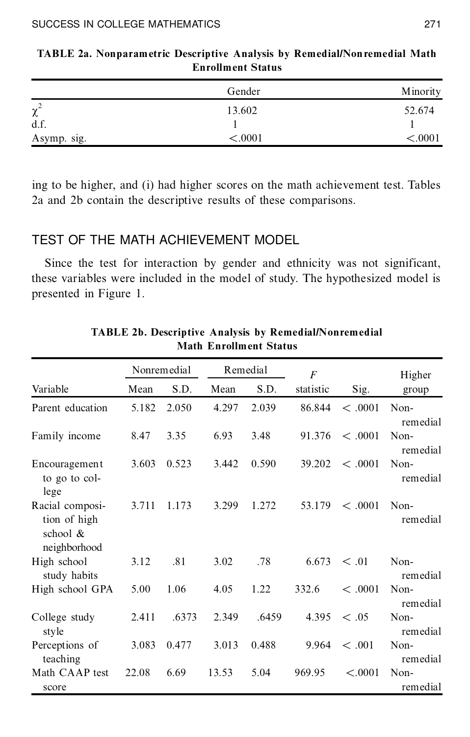|             | Gender | Minority  |
|-------------|--------|-----------|
| χ           | 13.602 | 52.674    |
| d.f.        |        |           |
| Asymp. sig. | < 0001 | $<$ .0001 |

|  |                          | <b>TABLE 2a. Nonparametric Descriptive Analysis by Remedial/Nonremedial Math</b> |
|--|--------------------------|----------------------------------------------------------------------------------|
|  | <b>Enrollment Status</b> |                                                                                  |

ing to be higher, and (i) had higher scores on the math achievement test. Tables 2a and 2b contain the descriptive results of these comparisons.

# TEST OF THE MATH ACHIEVEMENT MODEL

Since the test for interaction by gender and ethnicity was not significant, these variables were included in the model of study. The hypothesized model is presented in Figure 1.

|                                                                |       | Nonremedial |       | Remedial | F         |            | Higher             |
|----------------------------------------------------------------|-------|-------------|-------|----------|-----------|------------|--------------------|
| Variable                                                       | Mean  | S.D.        | Mean  | S.D.     | statistic | Sig.       | group              |
| Parent education                                               | 5.182 | 2.050       | 4.297 | 2.039    | 86.844    | < .0001    | Non-<br>remedial   |
| Family income                                                  | 8.47  | 3.35        | 6.93  | 3.48     | 91.376    | < .0001    | Non-<br>remedial   |
| Encouragement<br>to go to col-<br>lege                         | 3.603 | 0.523       | 3.442 | 0.590    | 39.202    | < .0001    | Non-<br>remedial   |
| Racial composi-<br>tion of high<br>school $\&$<br>neighborhood | 3.711 | 1.173       | 3.299 | 1.272    | 53.179    | < .0001    | $Non-$<br>remedial |
| High school<br>study habits                                    | 3.12  | .81         | 3.02  | .78      | 6.673     | < 0.01     | Non-<br>remedial   |
| High school GPA                                                | 5.00  | 1.06        | 4.05  | 1.22     | 332.6     | < .0001    | $Non-$<br>remedial |
| College study<br>style                                         | 2.411 | .6373       | 2.349 | .6459    | 4.395     | $\leq .05$ | Non-<br>remedial   |
| Perceptions of<br>teaching                                     | 3.083 | 0.477       | 3.013 | 0.488    | 9.964     | < .001     | Non-<br>remedial   |
| Math CAAP test<br>score                                        | 22.08 | 6.69        | 13.53 | 5.04     | 969.95    | < 0.001    | Non-<br>remedial   |

|  |                               | TABLE 2b. Descriptive Analysis by Remedial/Nonremedial |
|--|-------------------------------|--------------------------------------------------------|
|  | <b>Math Enrollment Status</b> |                                                        |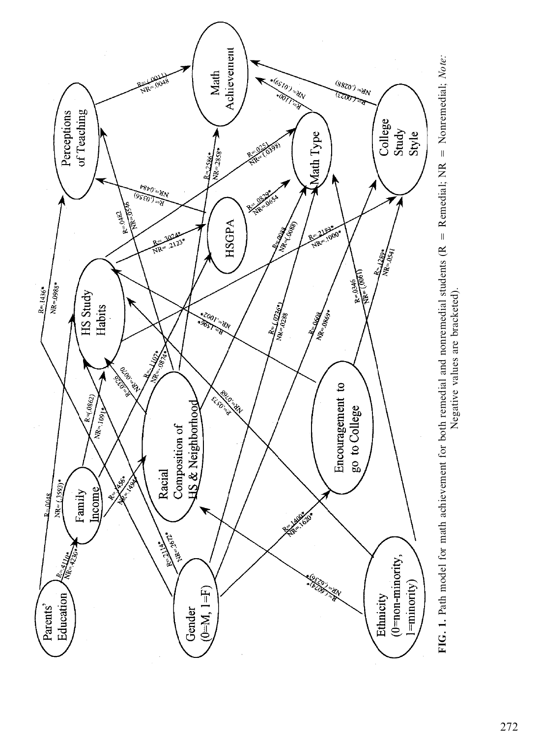

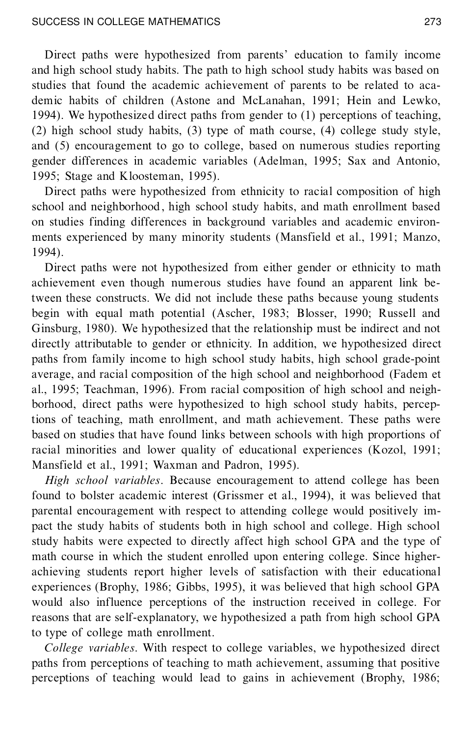Direct paths were hypothesized from parents' education to family income and high school study habits. The path to high school study habits was based on studies that found the academic achievement of parents to be related to academic habits of children (Astone and McLanahan, 1991; Hein and Lewko, 1994). We hypothesized direct paths from gender to (1) perceptions of teaching, (2) high school study habits, (3) type of math course, (4) college study style, and (5) encouragement to go to college, based on numerous studies reporting gender differences in academic variables (Adelman, 1995; Sax and Antonio, 1995; Stage and Kloosteman, 1995).

Direct paths were hypothesized from ethnicity to racial composition of high school and neighborhood , high school study habits, and math enrollment based on studies finding differences in background variables and academic environ ments experienced by many minority students (Mansfield et al., 1991; Manzo, 1994).

Direct paths were not hypothesized from either gender or ethnicity to math achievement even though numerous studies have found an apparent link between these constructs. We did not include these paths because young students begin with equal math potential (Ascher, 1983; Blosser, 1990; Russell and Ginsburg, 1980). We hypothesized that the relationship must be indirect and not directly attributable to gender or ethnicity. In addition, we hypothesized direct paths from family income to high school study habits, high school grade-point average, and racial composition of the high school and neighborhood (Fadem et al., 1995; Teachman, 1996). From racial composition of high school and neighborhood, direct paths were hypothesized to high school study habits, perceptions of teaching, math enrollment, and math achievement. These paths were based on studies that have found links between schools with high proportions of racial minorities and lower quality of educational experiences (Kozol, 1991; Mansfield et al., 1991; Waxman and Padron, 1995).

*High school variables*. Because encouragement to attend college has been found to bolster academic interest (Grissmer et al., 1994), it was believed that parental encouragement with respect to attending college would positively impact the study habits of students both in high school and college. High school study habits were expected to directly affect high school GPA and the type of math course in which the student enrolled upon entering college. Since higherachieving students report higher levels of satisfaction with their educational experiences (Brophy, 1986; Gibbs, 1995), it was believed that high school GPA would also influence perceptions of the instruction received in college. For reasons that are self-explanatory, we hypothesized a path from high school GPA to type of college math enrollment.

*College variables*. With respect to college variables, we hypothesized direct paths from perceptions of teaching to math achievement, assuming that positive perceptions of teaching would lead to gains in achievement (Brophy, 1986;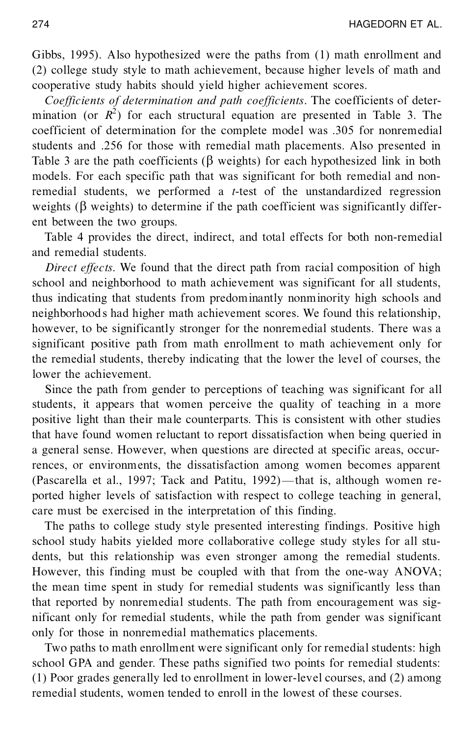Gibbs, 1995). Also hypothesized were the paths from (1) math enrollment and (2) college study style to math achievement, because higher levels of math and cooperative study habits should yield higher achievement scores.

*Coefficients of determination and path coefficients*. The coefficients of deter mination (or  $R^2$ ) for each structural equation are presented in Table 3. The coefficient of determination for the complete model was .305 for nonremedial students and .256 for those with remedial math placements. Also presented in Table 3 are the path coefficients ( $\beta$  weights) for each hypothesized link in both models. For each specific path that was significant for both remedial and nonremedial students, we performed a *t*-test of the unstandardized regression weights ( $\beta$  weights) to determine if the path coefficient was significantly different between the two groups.

Table 4 provides the direct, indirect, and total effects for both non-remedial and remedial students.

*Direct effects*. We found that the direct path from racial composition of high school and neighborhood to math achievement was significant for all students, thus indicating that students from predominantly nonminority high schools and neighborhood s had higher math achievement scores. We found this relationship, however, to be significantly stronger for the nonremedial students. There was a significant positive path from math enrollment to math achievement only for the remedial students, thereby indicating that the lower the level of courses, the lower the achievement.

Since the path from gender to perceptions of teaching was significant for all students, it appears that women perceive the quality of teaching in a more positive light than their male counterparts. This is consistent with other studies that have found women reluctant to report dissatisfaction when being queried in a general sense. However, when questions are directed at specific areas, occurrences, or environments, the dissatisfaction among women becomes apparent (Pascarella et al., 1997; Tack and Patitu, 1992)—that is, although women reported higher levels of satisfaction with respect to college teaching in general, care must be exercised in the interpretation of this finding.

The paths to college study style presented interesting findings. Positive high school study habits yielded more collaborative college study styles for all students, but this relationship was even stronger among the remedial students. However, this finding must be coupled with that from the one-way ANOVA; the mean time spent in study for remedial students was significantly less than that reported by nonremedial students. The path from encouragement was significant only for remedial students, while the path from gender was significant only for those in nonremedial mathematics placements.

Two paths to math enrollment were significant only for remedial students: high school GPA and gender. These paths signified two points for remedial students: (1) Poor grades generally led to enrollment in lower-level courses, and (2) among remedial students, women tended to enroll in the lowest of these courses.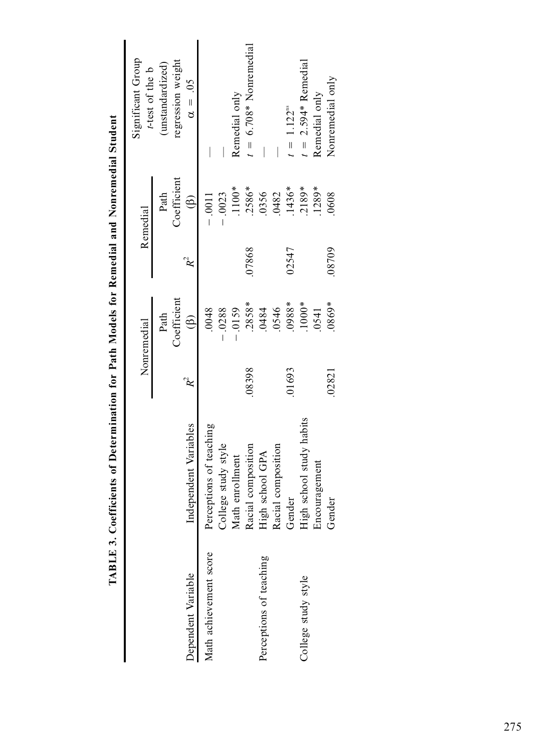|                         | TABLE 3. Coefficients of Determination for Path Models for Remedial and Nonremedial Student |       |                                    |       |                                |                                                         |
|-------------------------|---------------------------------------------------------------------------------------------|-------|------------------------------------|-------|--------------------------------|---------------------------------------------------------|
|                         |                                                                                             |       | Nonremedial                        |       | Remedial                       | Significant Group<br>$t$ test of the $\mathbf b$        |
| Dependent Variable      | Independent Variables                                                                       | ķ     | Coefficient<br>Path<br>$\circledR$ | ፝፞    | Coefficient<br>Path<br>$\circ$ | regression weight<br>(unstandardized)<br>$\alpha = .05$ |
| Math achievement score  | Perceptions of teaching                                                                     |       | 0048                               |       | $-0.001$                       |                                                         |
|                         |                                                                                             |       |                                    |       |                                |                                                         |
|                         | College study style                                                                         |       | .0288                              |       | $-0.0023$                      |                                                         |
|                         | Math enrollment                                                                             |       | $-0.0159$                          |       | .1100*                         | Remedial only                                           |
|                         | Racial composition                                                                          | 08398 | .2858*                             | 07868 | .2586*                         | $t = 6.708*$ Nonremedial                                |
| Perceptions of teaching | High school GPA                                                                             |       | 0484                               |       | 0356                           |                                                         |
|                         | Racial composition                                                                          |       | 0546                               |       | 0482                           |                                                         |
|                         | Gender                                                                                      | 01693 | *8860.                             | 02547 | $.1436*$                       | $t = 1.122^{\text{ns}}$                                 |
| College study style     | High school study habits                                                                    |       | $1000*$                            |       | .2189*                         | $t = 2.594*$ Remedial                                   |
|                         | Encouragement                                                                               |       | 0541                               |       | 1289*                          | Remedial only                                           |
|                         | Gender                                                                                      | 02821 | 0869*                              | 08709 | 0608                           | Nonremedial only                                        |
|                         |                                                                                             |       |                                    |       |                                |                                                         |

TABLE 3. Coefficients of Determination for Path Models for Remedial and Nonremedial Student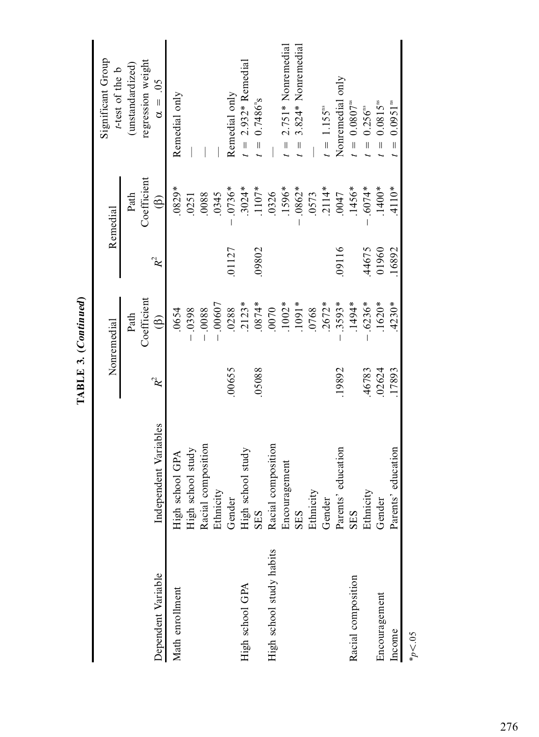|                          |                       |        | Nonremedial         |        | Remedial            | Significant Group<br>t-test of the b  |
|--------------------------|-----------------------|--------|---------------------|--------|---------------------|---------------------------------------|
|                          |                       |        | Coefficient<br>Path |        | Coefficient<br>Path | regression weight<br>(unstandardized) |
| Dependent Variable       | Independent Variables | Ŕ      | $\oplus$            | ิ⁄ั    | $\oplus$            | $\sim$<br>$\alpha =$                  |
| Math enrollment          | High school GPA       |        | .0654               |        | $.0829*$            | Remedial only                         |
|                          | High school study     |        | .0398               |        | .0251               |                                       |
|                          | Racial composition    |        | .0088               |        | .0088               |                                       |
|                          | Ethnicity             |        | .00607              |        | 0345                |                                       |
|                          | Gender                | .00655 | 0288                | .01127 | $.0736*$            | Remedial only                         |
| High school GPA          | High school study     |        | $.2123*$            |        | $.3024*$            | $= 2.932*$ Remedial                   |
|                          | SES                   | .05088 | $0000$ .<br>*       | .09802 | $.1107*$            | $= 0.7486^{n}$ s                      |
| High school study habits | Racial composition    |        |                     |        | 0326                |                                       |
|                          | Encouragement         |        | $.1002*$            |        | .1596*              | 2.751* Nonremedial<br>$\parallel$     |
|                          | <b>SES</b>            |        |                     |        | $.0862*$            | 3.824* Nonremedial<br>$\parallel$     |
|                          | Ethnicity             |        | 0768                |        | .0573               |                                       |
|                          | Gender                |        | $.2672*$            |        | $.2114*$            | $t = 1.155^{\circ}$                   |
|                          | Parents' education    | 19892  | $.3593*$            | 09116  | .0047               | Nonremedial only                      |
| Racial composition       | SES                   |        | 1494*               |        | .1456*              | $0.0807^{m}$<br>$\parallel$           |
|                          | Ethnicity             | 46783  | $.6236*$            | .44675 | $.6074*$            | $0.256$ <sup>ns</sup><br>$\mathbf{I}$ |
| Encouragement            | Gender                | .02624 | 1620*               | 01960  | $.1400*$            | $0.0815^{m}$<br>$\parallel$           |
| Income                   | Parents' education    | 17893  | $.4230*$            | 16892  | $.4110*$            | $0.0951$ <sup>as</sup><br>$\parallel$ |
| $50. > d_*$              |                       |        |                     |        |                     |                                       |

**TABLE 3. (***Continued***)**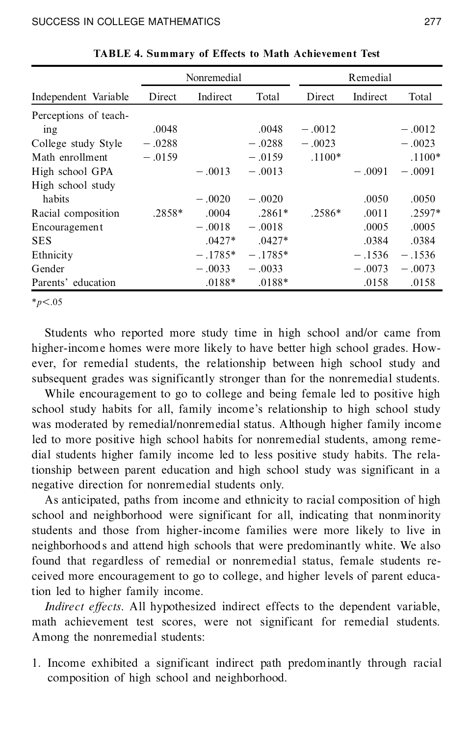|                       |          | Nonremedial |           |          | Remedial |          |
|-----------------------|----------|-------------|-----------|----------|----------|----------|
| Independent Variable  | Direct   | Indirect    | Total     | Direct   | Indirect | Total    |
| Perceptions of teach- |          |             |           |          |          |          |
| ing                   | .0048    |             | .0048     | $-.0012$ |          | $-.0012$ |
| College study Style   | $-.0288$ |             | $-.0288$  | $-.0023$ |          | $-.0023$ |
| Math enrollment       | $-.0159$ |             | $-.0159$  | $.1100*$ |          | $.1100*$ |
| High school GPA       |          | $-.0013$    | $-.0013$  |          | $-.0091$ | $-.0091$ |
| High school study     |          |             |           |          |          |          |
| habits                |          | $-.0020$    | $-.0020$  |          | .0050    | .0050    |
| Racial composition    | $.2858*$ | .0004       | 2861*     | 2586*    | .0011    | $.2597*$ |
| Encouragement         |          | $-.0018$    | $-.0018$  |          | .0005    | .0005    |
| <b>SES</b>            |          | $.0427*$    | $.0427*$  |          | .0384    | .0384    |
| Ethnicity             |          | $-.1785*$   | $-.1785*$ |          | $-.1536$ | $-.1536$ |
| Gender                |          | $-.0033$    | $-.0033$  |          | $-.0073$ | $-.0073$ |
| Parents' education    |          | $.0188*$    | $.0188*$  |          | .0158    | .0158    |

**TABLE 4. Summary of Effects to Math Achievement Test**

 $*_{p}<.05$ 

Students who reported more study time in high school and/or came from higher-income homes were more likely to have better high school grades. However, for remedial students, the relationship between high school study and subsequent grades was significantly stronger than for the nonremedial students.

While encouragement to go to college and being female led to positive high school study habits for all, family income's relationship to high school study was moderated by remedial/nonremedial status. Although higher family income led to more positive high school habits for nonremedial students, among remedial students higher family income led to less positive study habits. The relationship between parent education and high school study was significant in a negative direction for nonremedial students only.

As anticipated, paths from income and ethnicity to racial composition of high school and neighborhood were significant for all, indicating that nonminority students and those from higher-income families were more likely to live in neighborhood s and attend high schools that were predominantly white. We also found that regardless of remedial or nonremedial status, female students received more encouragement to go to college, and higher levels of parent education led to higher family income.

*Indirect effects*. All hypothesized indirect effects to the dependent variable, math achievement test scores, were not significant for remedial students. Among the nonremedial students:

1. Income exhibited a significant indirect path predominantly through racial composition of high school and neighborhood.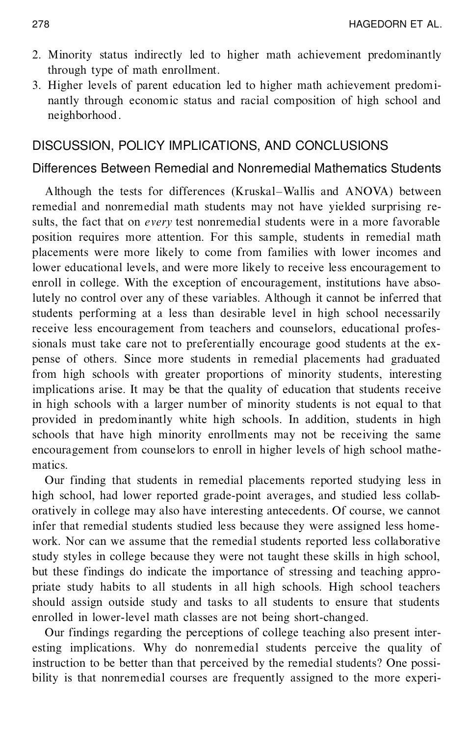- 2. Minority status indirectly led to higher math achievement predominantly through type of math enrollment.
- 3. Higher levels of parent education led to higher math achievement predominantly through economic status and racial composition of high school and neighborhood .

## DISCUSSION, POLICY IMPLICATIONS, AND CONCLUSIONS

## Differences Between Remedial and Nonremedial Mathematics Students

Although the tests for differences (Kruskal–Wallis and ANOVA) between remedial and nonremedial math students may not have yielded surprising results, the fact that on *every* test nonremedial students were in a more favorable position requires more attention. For this sample, students in remedial math placements were more likely to come from families with lower incomes and lower educational levels, and were more likely to receive less encouragement to enroll in college. With the exception of encouragement, institutions have absolutely no control over any of these variables. Although it cannot be inferred that students performing at a less than desirable level in high school necessarily receive less encouragement from teachers and counselors, educational professionals must take care not to preferentially encourage good students at the expense of others. Since more students in remedial placements had graduated from high schools with greater proportions of minority students, interesting implications arise. It may be that the quality of education that students receive in high schools with a larger number of minority students is not equal to that provided in predominantly white high schools. In addition, students in high schools that have high minority enrollments may not be receiving the same encouragement from counselors to enroll in higher levels of high school mathe matics.

Our finding that students in remedial placements reported studying less in high school, had lower reported grade-point averages, and studied less collaboratively in college may also have interesting antecedents. Of course, we cannot infer that remedial students studied less because they were assigned less homework. Nor can we assume that the remedial students reported less collaborative study styles in college because they were not taught these skills in high school, but these findings do indicate the importance of stressing and teaching appropriate study habits to all students in all high schools. High school teachers should assign outside study and tasks to all students to ensure that students enrolled in lower-level math classes are not being short-changed.

Our findings regarding the perceptions of college teaching also present interesting implications. Why do nonremedial students perceive the quality of instruction to be better than that perceived by the remedial students? One possibility is that nonremedial courses are frequently assigned to the more experi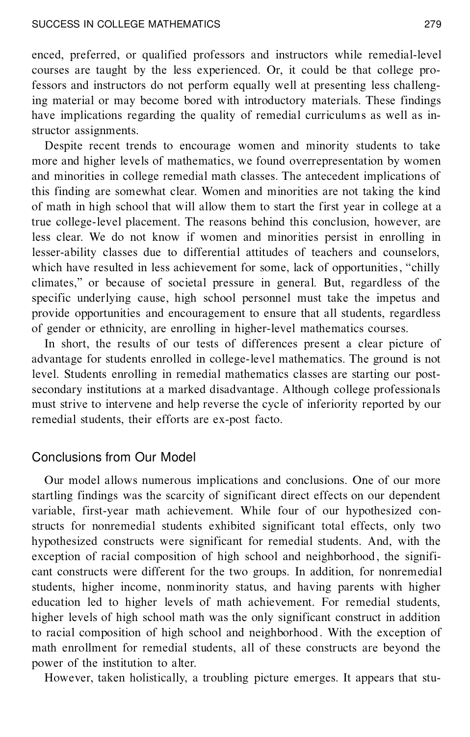enced, preferred, or qualified professors and instructors while remedial-level courses are taught by the less experienced. Or, it could be that college professors and instructors do not perform equally well at presenting less challenging material or may become bored with introductory materials. These findings have implications regarding the quality of remedial curriculums as well as instructor assignments.

Despite recent trends to encourage women and minority students to take more and higher levels of mathematics, we found overrepresentation by women and minorities in college remedial math classes. The antecedent implications of this finding are somewhat clear. Women and minorities are not taking the kind of math in high school that will allow them to start the first year in college at a true college-level placement. The reasons behind this conclusion, however, are less clear. We do not know if women and minorities persist in enrolling in lesser-ability classes due to differential attitudes of teachers and counselors, which have resulted in less achievement for some, lack of opportunities, "chilly climates,º or because of societal pressure in general. But, regardless of the specific underlying cause, high school personnel must take the impetus and provide opportunities and encouragement to ensure that all students, regardless of gender or ethnicity, are enrolling in higher-level mathematics courses.

In short, the results of our tests of differences present a clear picture of advantage for students enrolled in college-level mathematics. The ground is not level. Students enrolling in remedial mathematics classes are starting our postsecondary institutions at a marked disadvantage. Although college professionals must strive to intervene and help reverse the cycle of inferiority reported by our remedial students, their efforts are ex-post facto.

## Conclusions from Our Model

Our model allows numerous implications and conclusions. One of our more startling findings was the scarcity of significant direct effects on our dependent variable, first-year math achievement. While four of our hypothesized constructs for nonremedial students exhibited significant total effects, only two hypothesized constructs were significant for remedial students. And, with the exception of racial composition of high school and neighborhood , the significant constructs were different for the two groups. In addition, for nonremedial students, higher income, nonminority status, and having parents with higher education led to higher levels of math achievement. For remedial students, higher levels of high school math was the only significant construct in addition to racial composition of high school and neighborhood . With the exception of math enrollment for remedial students, all of these constructs are beyond the power of the institution to alter.

However, taken holistically, a troubling picture emerges. It appears that stu-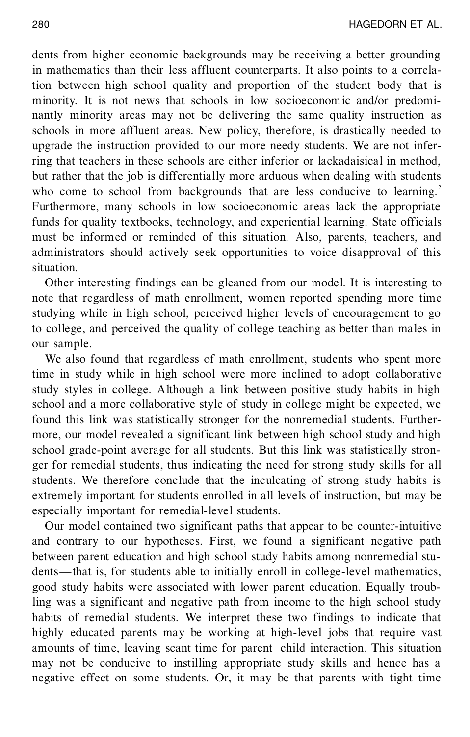dents from higher economic backgrounds may be receiving a better grounding in mathematics than their less affluent counterparts. It also points to a correlation between high school quality and proportion of the student body that is minority. It is not news that schools in low socioeconomic and/or predominantly minority areas may not be delivering the same quality instruction as schools in more affluent areas. New policy, therefore, is drastically needed to upgrade the instruction provided to our more needy students. We are not inferring that teachers in these schools are either inferior or lackadaisical in method, but rather that the job is differentially more arduous when dealing with students who come to school from backgrounds that are less conducive to learning.<sup>2</sup> Furthermore, many schools in low socioeconomic areas lack the appropriate funds for quality textbooks, technology, and experiential learning. State officials must be informed or reminded of this situation. Also, parents, teachers, and administrators should actively seek opportunities to voice disapproval of this situation.

Other interesting findings can be gleaned from our model. It is interesting to note that regardless of math enrollment, women reported spending more time studying while in high school, perceived higher levels of encouragement to go to college, and perceived the quality of college teaching as better than males in our sample.

We also found that regardless of math enrollment, students who spent more time in study while in high school were more inclined to adopt collaborative study styles in college. Although a link between positive study habits in high school and a more collaborative style of study in college might be expected, we found this link was statistically stronger for the nonremedial students. Further more, our model revealed a significant link between high school study and high school grade-point average for all students. But this link was statistically stronger for remedial students, thus indicating the need for strong study skills for all students. We therefore conclude that the inculcating of strong study habits is extremely important for students enrolled in all levels of instruction, but may be especially important for remedial-level students.

Our model contained two significant paths that appear to be counter-intuitive and contrary to our hypotheses. First, we found a significant negative path between parent education and high school study habits among nonremedial students—that is, for students able to initially enroll in college-level mathematics, good study habits were associated with lower parent education. Equally troubling was a significant and negative path from income to the high school study habits of remedial students. We interpret these two findings to indicate that highly educated parents may be working at high-level jobs that require vast amounts of time, leaving scant time for parent-child interaction. This situation may not be conducive to instilling appropriate study skills and hence has a negative effect on some students. Or, it may be that parents with tight time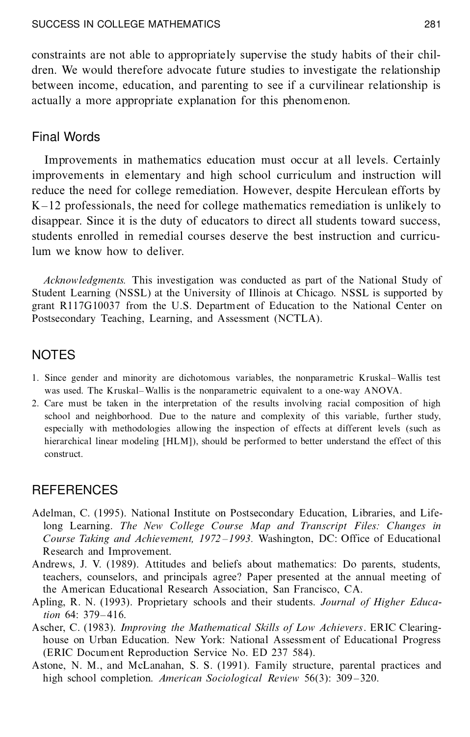constraints are not able to appropriately supervise the study habits of their children. We would therefore advocate future studies to investigate the relationship between income, education, and parenting to see if a curvilinear relationship is actually a more appropriate explanation for this phenomenon.

#### Final Words

Improvements in mathematics education must occur at all levels. Certainly improvements in elementary and high school curriculum and instruction will reduce the need for college remediation. However, despite Herculean efforts by  $K-12$  professionals, the need for college mathematics remediation is unlikely to disappear. Since it is the duty of educators to direct all students toward success, students enrolled in remedial courses deserve the best instruction and curriculum we know how to deliver.

*Acknowledgments.* This investigation was conducted as part of the National Study of Student Learning (NSSL) at the University of Illinois at Chicago. NSSL is supported by grant R117G10037 from the U.S. Department of Education to the National Center on Postsecondary Teaching, Learning, and Assessment (NCTLA).

## NOTES

- 1. Since gender and minority are dichotomous variables, the nonparametric Kruskal–Wallis test was used. The Kruskal–Wallis is the nonparametric equivalent to a one-way ANOVA.
- 2. Care must be taken in the interpretation of the results involving racial composition of high school and neighborhood. Due to the nature and complexity of this variable, further study, especially with methodologies allowing the inspection of effects at different levels (such as hierarchical linear modeling [HLM]), should be performed to better understand the effect of this construct.

## **REFERENCES**

- Adelman, C. (1995). National Institute on Postsecondary Education, Libraries, and Lifelong Learning. *The New College Course Map and Transcript Files: Changes in Course Taking and Achievement, 1972 ±1993.* Washington, DC: Office of Educational Research and Improvement.
- Andrews, J. V. (1989). Attitudes and beliefs about mathematics: Do parents, students, teachers, counselors, and principals agree? Paper presented at the annual meeting of the American Educational Research Association, San Francisco, CA.
- Apling, R. N. (1993). Proprietary schools and their students. *Journal of Higher Education* 64: 379-416.
- Ascher, C. (1983). *Improving the Mathematical Skills of Low Achievers*. ERIC Clearinghouse on Urban Education. New York: National Assessment of Educational Progress (ERIC Document Reproduction Service No. ED 237 584).
- Astone, N. M., and McLanahan, S. S. (1991). Family structure, parental practices and high school completion. *American Sociological Review* 56(3): 309–320.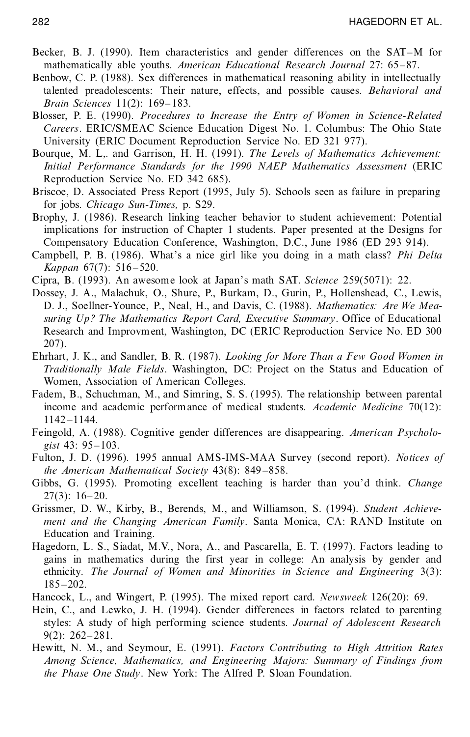- Becker, B. J. (1990). Item characteristics and gender differences on the SAT-M for mathematically able youths. *American Educational Research Journal* 27: 65–87.
- Benbow, C. P. (1988). Sex differences in mathematical reasoning ability in intellectually talented preadolescents: Their nature, effects, and possible causes. *Behavioral and Brain Sciences* 11(2): 169-183.
- Blosser, P. E. (1990). *Procedures to Increase the Entry of Women in Science-R elated Careers*. ERIC/SMEAC Science Education Digest No. 1. Columbus: The Ohio State University (ERIC Document Reproduction Service No. ED 321 977).
- Bourque, M. L,. and Garrison, H. H. (1991). *The Levels of Mathematics Achievement: Initial Performance Standards for the 1990 NAEP Mathematics Assessment* (ERIC Reproduction Service No. ED 342 685).
- Briscoe, D. Associated Press Report (1995, July 5). Schools seen as failure in preparing for jobs. *Chicago Sun-Times,* p. S29.
- Brophy, J. (1986). Research linking teacher behavior to student achievement: Potential implications for instruction of Chapter 1 students. Paper presented at the Designs for Compensatory Education Conference, Washington, D.C., June 1986 (ED 293 914).
- Campbell, P. B. (1986). What's a nice girl like you doing in a math class? *Phi Delta Kappan* 67(7): 516-520.
- Cipra, B. (1993). An awesome look at Japan' s math SAT. *Science* 259(5071): 22.
- Dossey, J. A., Malachuk, O., Shure, P., Burkam, D., Gurin, P., Hollenshead, C., Lewis, D. J., Soellner-Younce, P., Neal, H., and Davis, C. (1988). *Mathematics: Are We Mea suring Up? The Mathematics Report Card, Executive Summary*. Office of Educational Research and Improvment, Washington, DC (ERIC Reproduction Service No. ED 300 207).
- Ehrhart, J. K., and Sandler, B. R. (1987). *Looking for More Than a Few Good Women in Traditionally Male Fields*. Washington, DC: Project on the Status and Education of Women, Association of American Colleges.
- Fadem, B., Schuchman, M., and Simring, S. S. (1995). The relationship between parental income and academic performance of medical students. *Academic Medicine* 70(12): 1142±1144.
- Feingold, A. (1988). Cognitive gender differences are disappearing. *American Psychologist* 43: 95-103.
- Fulton, J. D. (1996). 1995 annual AMS-IMS-MAA Survey (second report). *Notices of the American Mathematical Society* 43(8): 849-858.
- Gibbs, G. (1995). Promoting excellent teaching is harder than you'd think. *Change*  $27(3): 16-20.$
- Grissmer, D. W., Kirby, B., Berends, M., and Williamson, S. (1994). *Student Achievement and the Changing American Family*. Santa Monica, CA: RAND Institute on Education and Training.
- Hagedorn, L. S., Siadat, M.V., Nora, A., and Pascarella, E. T. (1997). Factors leading to gains in mathematics during the first year in college: An analysis by gender and ethnicity. *The Journal of Women and Minorities in Science and Engineering* 3(3): 185±202.
- Hancock, L., and Wingert, P. (1995). The mixed report card. *Newsweek* 126(20): 69.
- Hein, C., and Lewko, J. H. (1994). Gender differences in factors related to parenting styles: A study of high performing science students. *Journal of Adolescent Research*  $9(2): 262 - 281.$
- Hewitt, N. M., and Seymour, E. (1991). *Factors Contributing to High Attrition Rates Among Science, Mathematics, and Engineering Majors: Summary of Findings from the Phase One Study*. New York: The Alfred P. Sloan Foundation.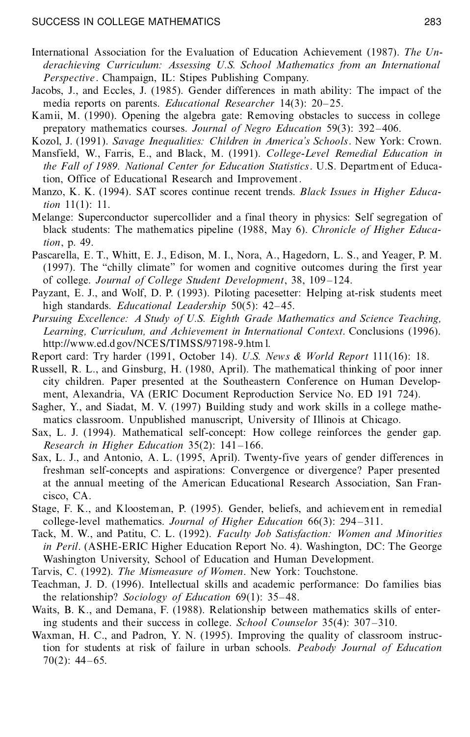- International Association for the Evaluation of Education Achievement (1987). *The Underachieving Curriculum: Assessing U.S. School Mathematics from an International Perspective* . Champaign, IL: Stipes Publishing Company.
- Jacobs, J., and Eccles, J. (1985). Gender differences in math ability: The impact of the media reports on parents. *Educational Researcher* 14(3): 20–25.
- Kamii, M. (1990). Opening the algebra gate: Removing obstacles to success in college prepatory mathematics courses. *Journal of Negro Education* 59(3): 392-406.
- Kozol, J. (1991). *Savage Inequalities: Children in America's Schools*. New York: Crown.
- Mansfield, W., Farris, E., and Black, M. (1991). *College-Level Remedial Education in the Fall of 1989. National Center for Education Statistics*. U.S. Department of Education, Office of Educational Research and Improvement.
- Manzo, K. K. (1994). SAT scores continue recent trends. *Black Issues in Higher Education* 11(1): 11.
- Melange: Superconductor supercollider and a final theory in physics: Self segregation of black students: The mathematics pipeline (1988, May 6). *Chronicle of Higher Education*, p. 49.
- Pascarella, E. T., Whitt, E. J., Edison, M. I., Nora, A., Hagedorn, L. S., and Yeager, P. M. (1997). The ª chilly climateº for women and cognitive outcomes during the first year of college. *Journal of College Student Development*, 38, 109-124.
- Payzant, E. J., and Wolf, D. P. (1993). Piloting pacesetter: Helping at-risk students meet high standards. *Educational Leadership* 50(5): 42-45.
- *Pursuing Excellence: A Study of U.S. Eighth Grade Mathematics and Science Teaching, Learning, Curriculum, and Achievement in International Context*. Conclusions (1996). http://www.ed.d gov/NCES/TIMSS/97198-9.htm l.
- Report card: Try harder (1991, October 14). *U.S. News & World Report* 111(16): 18.
- Russell, R. L., and Ginsburg, H. (1980, April). The mathematical thinking of poor inner city children. Paper presented at the Southeastern Conference on Human Develop ment, Alexandria, VA (ERIC Document Reproduction Service No. ED 191 724).
- Sagher, Y., and Siadat, M. V. (1997) Building study and work skills in a college mathe matics classroom. Unpublished manuscript, University of Illinois at Chicago.
- Sax, L. J. (1994). Mathematical self-concept: How college reinforces the gender gap. *Research in Higher Education* 35(2): 141-166.
- Sax, L. J., and Antonio, A. L. (1995, April). Twenty-five years of gender differences in freshman self-concepts and aspirations: Convergence or divergence? Paper presented at the annual meeting of the American Educational Research Association, San Francisco, CA.
- Stage, F. K., and Kloosteman, P. (1995). Gender, beliefs, and achievem ent in remedial college-level mathematics. *Journal of Higher Education* 66(3): 294-311.
- Tack, M. W., and Patitu, C. L. (1992). *Faculty Job Satisfaction: Women and Minorities in Peril*. (ASHE-ERIC Higher Education Report No. 4). Washington, DC: The George Washington University, School of Education and Human Development.
- Tarvis, C. (1992). *The Mismeasure of Women*. New York: Touchstone.
- Teachman, J. D. (1996). Intellectual skills and academic performance: Do families bias the relationship? *Sociology of Education* 69(1): 35–48.
- Waits, B. K., and Demana, F. (1988). Relationship between mathematics skills of entering students and their success in college. *School Counselor* 35(4): 307–310.
- Waxman, H. C., and Padron, Y. N. (1995). Improving the quality of classroom instruction for students at risk of failure in urban schools. *Peabody Journal of Education*  $70(2): 44-65.$